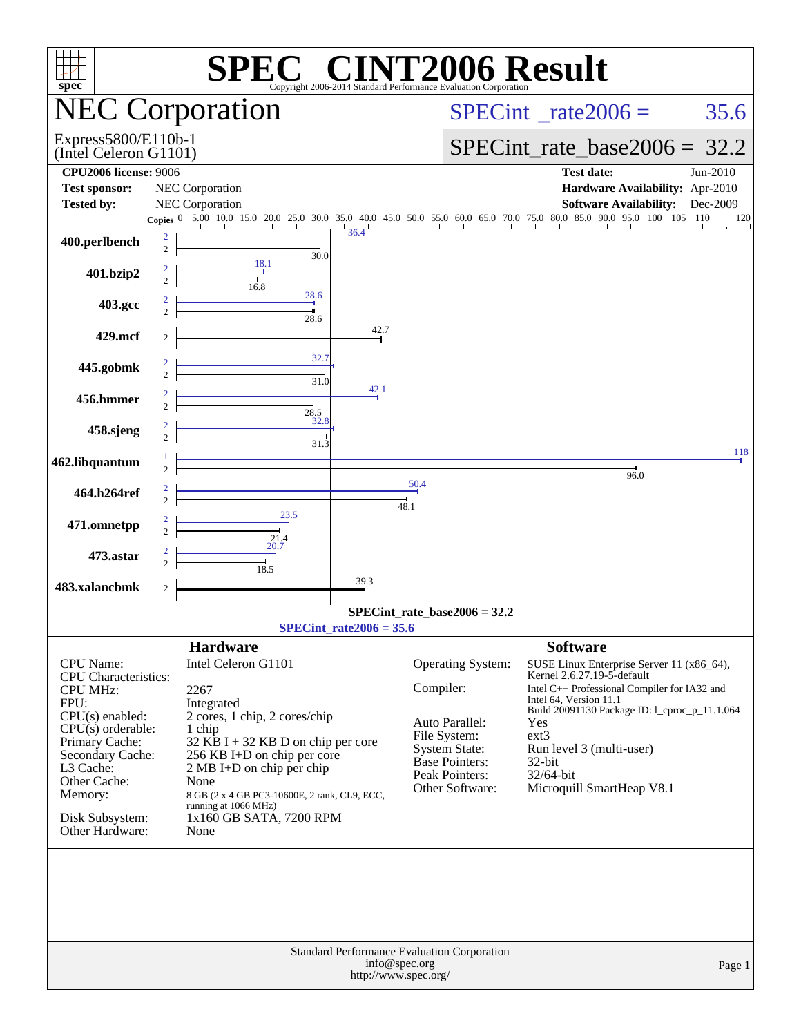| <b>C® CINT2006 Result</b><br>spec <sup>®</sup><br>Copyright 2006-2014 Standard Performance Evaluation Corporation |                                                                                                                                                                                                                                                                                                                                                                                                                                                  |                                                                                                                                                                                                           |                                             |                                                                  |                                                                                                                                                 |                                                                                                                                                                                                                                                                                                       |            |  |  |  |
|-------------------------------------------------------------------------------------------------------------------|--------------------------------------------------------------------------------------------------------------------------------------------------------------------------------------------------------------------------------------------------------------------------------------------------------------------------------------------------------------------------------------------------------------------------------------------------|-----------------------------------------------------------------------------------------------------------------------------------------------------------------------------------------------------------|---------------------------------------------|------------------------------------------------------------------|-------------------------------------------------------------------------------------------------------------------------------------------------|-------------------------------------------------------------------------------------------------------------------------------------------------------------------------------------------------------------------------------------------------------------------------------------------------------|------------|--|--|--|
|                                                                                                                   |                                                                                                                                                                                                                                                                                                                                                                                                                                                  | <b>NEC Corporation</b>                                                                                                                                                                                    |                                             |                                                                  | $SPECint^{\circ}$ rate $2006 =$                                                                                                                 | 35.6                                                                                                                                                                                                                                                                                                  |            |  |  |  |
| Express5800/E110b-1<br>(Intel Celeron G1101)                                                                      |                                                                                                                                                                                                                                                                                                                                                                                                                                                  |                                                                                                                                                                                                           |                                             |                                                                  | $SPECint_rate_base2006 = 32.2$                                                                                                                  |                                                                                                                                                                                                                                                                                                       |            |  |  |  |
| <b>CPU2006</b> license: 9006<br><b>Test sponsor:</b>                                                              |                                                                                                                                                                                                                                                                                                                                                                                                                                                  | NEC Corporation                                                                                                                                                                                           |                                             | <b>Test date:</b><br>Jun-2010<br>Hardware Availability: Apr-2010 |                                                                                                                                                 |                                                                                                                                                                                                                                                                                                       |            |  |  |  |
| <b>Tested by:</b>                                                                                                 |                                                                                                                                                                                                                                                                                                                                                                                                                                                  | <b>NEC Corporation</b>                                                                                                                                                                                    |                                             |                                                                  |                                                                                                                                                 | <b>Software Availability:</b>                                                                                                                                                                                                                                                                         | Dec-2009   |  |  |  |
| 400.perlbench                                                                                                     | $\overline{2}$                                                                                                                                                                                                                                                                                                                                                                                                                                   | Copies $\begin{bmatrix} 0 & 5.00 & 10.0 & 15.0 & 20.0 & 25.0 & 30.0 & 35.0 & 40.0 & 45.0 & 50.0 & 55.0 & 60.0 & 65.0 & 70.0 & 75.0 & 80.0 & 85.0 & 90.0 & 95.0 & 100 & 105 \end{bmatrix}$<br>30.0<br>18.1 | 36.4                                        |                                                                  |                                                                                                                                                 |                                                                                                                                                                                                                                                                                                       | 110<br>120 |  |  |  |
| 401.bzip2                                                                                                         |                                                                                                                                                                                                                                                                                                                                                                                                                                                  | 16.8<br>28.6                                                                                                                                                                                              |                                             |                                                                  |                                                                                                                                                 |                                                                                                                                                                                                                                                                                                       |            |  |  |  |
| 403.gcc                                                                                                           |                                                                                                                                                                                                                                                                                                                                                                                                                                                  | 28.6                                                                                                                                                                                                      |                                             |                                                                  |                                                                                                                                                 |                                                                                                                                                                                                                                                                                                       |            |  |  |  |
| 429.mcf                                                                                                           |                                                                                                                                                                                                                                                                                                                                                                                                                                                  | 32.7                                                                                                                                                                                                      | 42.7                                        |                                                                  |                                                                                                                                                 |                                                                                                                                                                                                                                                                                                       |            |  |  |  |
| 445.gobmk                                                                                                         |                                                                                                                                                                                                                                                                                                                                                                                                                                                  | 31.0                                                                                                                                                                                                      | 42.1                                        |                                                                  |                                                                                                                                                 |                                                                                                                                                                                                                                                                                                       |            |  |  |  |
| 456.hmmer                                                                                                         |                                                                                                                                                                                                                                                                                                                                                                                                                                                  | 28.5<br>32.8                                                                                                                                                                                              |                                             |                                                                  |                                                                                                                                                 |                                                                                                                                                                                                                                                                                                       |            |  |  |  |
| 458.sjeng                                                                                                         |                                                                                                                                                                                                                                                                                                                                                                                                                                                  | $31.\overline{3}$                                                                                                                                                                                         |                                             |                                                                  |                                                                                                                                                 |                                                                                                                                                                                                                                                                                                       | 118        |  |  |  |
| 462.libquantum                                                                                                    |                                                                                                                                                                                                                                                                                                                                                                                                                                                  |                                                                                                                                                                                                           |                                             |                                                                  |                                                                                                                                                 | $\frac{4}{96.0}$                                                                                                                                                                                                                                                                                      |            |  |  |  |
| 464.h264ref                                                                                                       |                                                                                                                                                                                                                                                                                                                                                                                                                                                  |                                                                                                                                                                                                           |                                             | 50.4<br>48.1                                                     |                                                                                                                                                 |                                                                                                                                                                                                                                                                                                       |            |  |  |  |
| 471.omnetpp                                                                                                       |                                                                                                                                                                                                                                                                                                                                                                                                                                                  | 23.5<br>$^{21.4}_{20.7}$                                                                                                                                                                                  |                                             |                                                                  |                                                                                                                                                 |                                                                                                                                                                                                                                                                                                       |            |  |  |  |
| 473.astar                                                                                                         |                                                                                                                                                                                                                                                                                                                                                                                                                                                  | $\overline{18.5}$                                                                                                                                                                                         |                                             |                                                                  |                                                                                                                                                 |                                                                                                                                                                                                                                                                                                       |            |  |  |  |
| 483.xalancbmk                                                                                                     | 2                                                                                                                                                                                                                                                                                                                                                                                                                                                |                                                                                                                                                                                                           | 39.3                                        |                                                                  |                                                                                                                                                 |                                                                                                                                                                                                                                                                                                       |            |  |  |  |
|                                                                                                                   |                                                                                                                                                                                                                                                                                                                                                                                                                                                  |                                                                                                                                                                                                           | $SPECint_rate2006 = 35.6$                   | $SPECint_rate_base2006 = 32.2$                                   |                                                                                                                                                 |                                                                                                                                                                                                                                                                                                       |            |  |  |  |
|                                                                                                                   |                                                                                                                                                                                                                                                                                                                                                                                                                                                  | <b>Hardware</b>                                                                                                                                                                                           |                                             |                                                                  |                                                                                                                                                 | <b>Software</b>                                                                                                                                                                                                                                                                                       |            |  |  |  |
| <b>CPU</b> Name:<br><b>CPU MHz:</b><br>FPU:<br>Primary Cache:<br>L3 Cache:<br>Other Cache:<br>Memory:             | Intel Celeron G1101<br><b>CPU</b> Characteristics:<br>2267<br>Integrated<br>$CPU(s)$ enabled:<br>2 cores, 1 chip, 2 cores/chip<br>$CPU(s)$ orderable:<br>1 chip<br>$32$ KB I + 32 KB D on chip per core<br>Secondary Cache:<br>256 KB I+D on chip per core<br>2 MB I+D on chip per chip<br>None<br>8 GB (2 x 4 GB PC3-10600E, 2 rank, CL9, ECC,<br>running at 1066 MHz)<br>Disk Subsystem:<br>1x160 GB SATA, 7200 RPM<br>Other Hardware:<br>None |                                                                                                                                                                                                           |                                             |                                                                  | Operating System:<br>Compiler:<br>Auto Parallel:<br>File System:<br><b>System State:</b><br>Base Pointers:<br>Peak Pointers:<br>Other Software: | SUSE Linux Enterprise Server 11 (x86_64),<br>Kernel 2.6.27.19-5-default<br>Intel C++ Professional Compiler for IA32 and<br>Intel 64, Version 11.1<br>Build 20091130 Package ID: 1_cproc_p_11.1.064<br>Yes<br>$ext{3}$<br>Run level 3 (multi-user)<br>32-bit<br>32/64-bit<br>Microquill SmartHeap V8.1 |            |  |  |  |
|                                                                                                                   |                                                                                                                                                                                                                                                                                                                                                                                                                                                  |                                                                                                                                                                                                           | Standard Performance Evaluation Corporation | info@spec.org<br>http://www.spec.org/                            |                                                                                                                                                 |                                                                                                                                                                                                                                                                                                       | Page 1     |  |  |  |
|                                                                                                                   |                                                                                                                                                                                                                                                                                                                                                                                                                                                  |                                                                                                                                                                                                           |                                             |                                                                  |                                                                                                                                                 |                                                                                                                                                                                                                                                                                                       |            |  |  |  |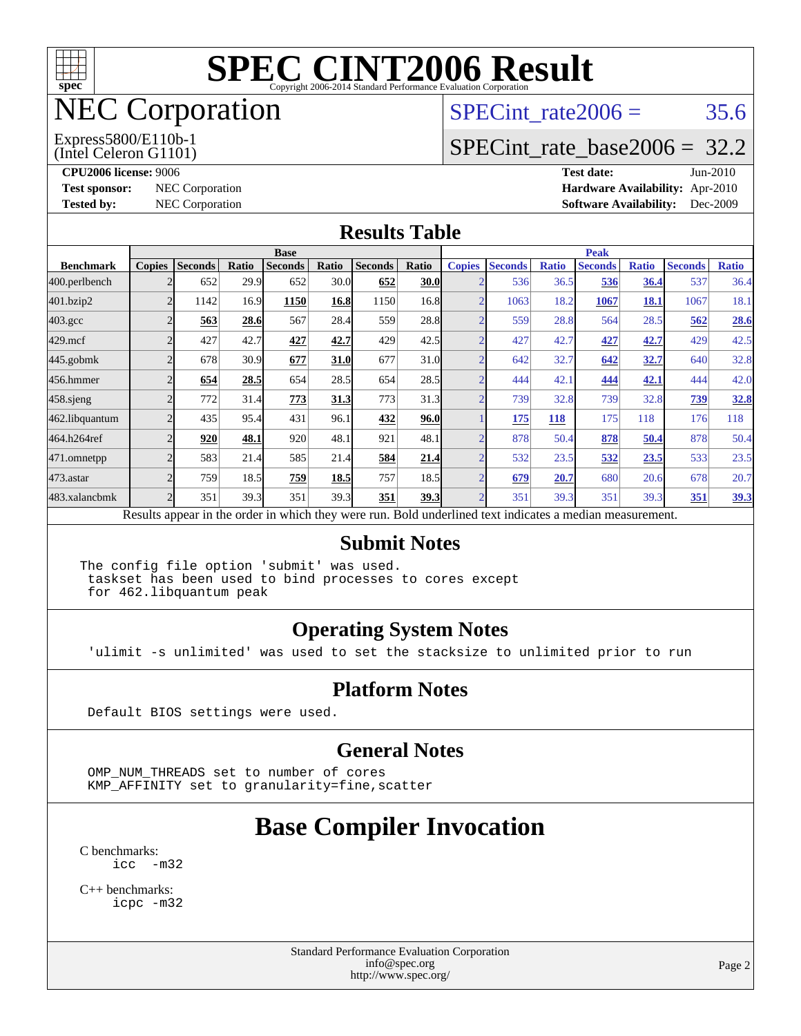

## NEC Corporation

SPECint rate  $2006 = 35.6$ 

#### (Intel Celeron G1101) Express5800/E110b-1

[SPECint\\_rate\\_base2006 =](http://www.spec.org/auto/cpu2006/Docs/result-fields.html#SPECintratebase2006) 32.2

**[CPU2006 license:](http://www.spec.org/auto/cpu2006/Docs/result-fields.html#CPU2006license)** 9006 **[Test date:](http://www.spec.org/auto/cpu2006/Docs/result-fields.html#Testdate)** Jun-2010 **[Test sponsor:](http://www.spec.org/auto/cpu2006/Docs/result-fields.html#Testsponsor)** NEC Corporation **[Hardware Availability:](http://www.spec.org/auto/cpu2006/Docs/result-fields.html#HardwareAvailability)** Apr-2010 **[Tested by:](http://www.spec.org/auto/cpu2006/Docs/result-fields.html#Testedby)** NEC Corporation **[Software Availability:](http://www.spec.org/auto/cpu2006/Docs/result-fields.html#SoftwareAvailability)** Dec-2009

#### **[Results Table](http://www.spec.org/auto/cpu2006/Docs/result-fields.html#ResultsTable)**

|                                                                                                          | <b>Base</b>   |                |       |                |       |                |             | <b>Peak</b>   |                |              |                |              |                |              |
|----------------------------------------------------------------------------------------------------------|---------------|----------------|-------|----------------|-------|----------------|-------------|---------------|----------------|--------------|----------------|--------------|----------------|--------------|
| <b>Benchmark</b>                                                                                         | <b>Copies</b> | <b>Seconds</b> | Ratio | <b>Seconds</b> | Ratio | <b>Seconds</b> | Ratio       | <b>Copies</b> | <b>Seconds</b> | <b>Ratio</b> | <b>Seconds</b> | <b>Ratio</b> | <b>Seconds</b> | <b>Ratio</b> |
| 400.perlbench                                                                                            |               | 652            | 29.9  | 652            | 30.0  | 652            | <b>30.0</b> |               | 536            | 36.5         | 536            | 36.4         | 537            | 36.4         |
| 401.bzip2                                                                                                |               | 1142           | 16.9  | 1150           | 16.8  | 1150           | 16.8        |               | 1063           | 18.2         | 1067           | 18.1         | 1067           | 18.1         |
| $403.\text{gcc}$                                                                                         |               | 563            | 28.6  | 567            | 28.4  | 559            | 28.8        |               | 559            | 28.8         | 564            | 28.5         | 562            | 28.6         |
| $429$ .mcf                                                                                               |               | 427            | 42.7  | 427            | 42.7  | 429            | 42.5        |               | 427            | 42.7         | 427            | 42.7         | 429            | 42.5         |
| $445$ .gobmk                                                                                             |               | 678            | 30.9  | 677            | 31.0  | 677            | 31.0        |               | 642            | 32.7         | 642            | 32.7         | 640            | 32.8         |
| 456.hmmer                                                                                                |               | 654            | 28.5  | 654            | 28.5  | 654            | 28.5        |               | 444            | 42.1         | 444            | 42.1         | 444            | 42.0         |
| $458$ .sjeng                                                                                             |               | 772            | 31.4  | 773            | 31.3  | 773            | 31.3        | C             | 739            | 32.8         | 739            | 32.8         | 739            | 32.8         |
| 462.libquantum                                                                                           |               | 435            | 95.4  | 431            | 96.1  | 432            | 96.0        |               | 175            | <b>118</b>   | 175            | 118          | 176            | 118          |
| 464.h264ref                                                                                              |               | 920            | 48.1  | 920            | 48.1  | 921            | 48.1        |               | 878            | 50.4         | 878            | 50.4         | 878            | 50.4         |
| 471.omnetpp                                                                                              |               | 583            | 21.4  | 585            | 21.4  | 584            | 21.4        |               | 532            | 23.5         | 532            | 23.5         | 533            | 23.5         |
| 473.astar                                                                                                |               | 759            | 18.5  | 759            | 18.5  | 757            | 18.5        |               | 679            | 20.7         | 680            | 20.6         | 678            | 20.7         |
| 483.xalancbmk                                                                                            |               | 351            | 39.3  | 351            | 39.3  | 351            | 39.3        |               | 351            | 39.3         | 351            | 39.3         | 351            | 39.3         |
| Results appear in the order in which they were run. Bold underlined text indicates a median measurement. |               |                |       |                |       |                |             |               |                |              |                |              |                |              |

#### **[Submit Notes](http://www.spec.org/auto/cpu2006/Docs/result-fields.html#SubmitNotes)**

The config file option 'submit' was used. taskset has been used to bind processes to cores except for 462.libquantum peak

#### **[Operating System Notes](http://www.spec.org/auto/cpu2006/Docs/result-fields.html#OperatingSystemNotes)**

'ulimit -s unlimited' was used to set the stacksize to unlimited prior to run

#### **[Platform Notes](http://www.spec.org/auto/cpu2006/Docs/result-fields.html#PlatformNotes)**

Default BIOS settings were used.

#### **[General Notes](http://www.spec.org/auto/cpu2006/Docs/result-fields.html#GeneralNotes)**

 OMP\_NUM\_THREADS set to number of cores KMP\_AFFINITY set to granularity=fine,scatter

### **[Base Compiler Invocation](http://www.spec.org/auto/cpu2006/Docs/result-fields.html#BaseCompilerInvocation)**

[C benchmarks](http://www.spec.org/auto/cpu2006/Docs/result-fields.html#Cbenchmarks): [icc -m32](http://www.spec.org/cpu2006/results/res2010q3/cpu2006-20100621-11780.flags.html#user_CCbase_intel_icc_32bit_5ff4a39e364c98233615fdd38438c6f2)

[C++ benchmarks:](http://www.spec.org/auto/cpu2006/Docs/result-fields.html#CXXbenchmarks) [icpc -m32](http://www.spec.org/cpu2006/results/res2010q3/cpu2006-20100621-11780.flags.html#user_CXXbase_intel_icpc_32bit_4e5a5ef1a53fd332b3c49e69c3330699)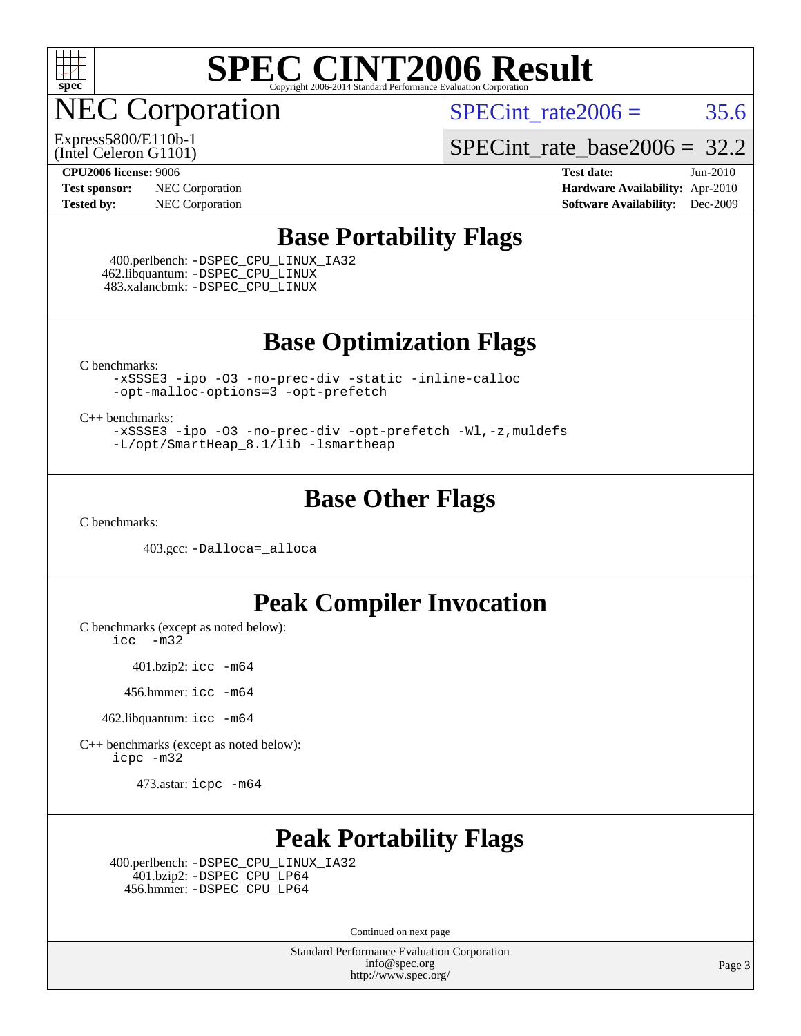

NEC Corporation

SPECint rate  $2006 = 35.6$ 

(Intel Celeron G1101) Express5800/E110b-1 [SPECint\\_rate\\_base2006 =](http://www.spec.org/auto/cpu2006/Docs/result-fields.html#SPECintratebase2006) 32.2

**[Test sponsor:](http://www.spec.org/auto/cpu2006/Docs/result-fields.html#Testsponsor)** NEC Corporation **[Hardware Availability:](http://www.spec.org/auto/cpu2006/Docs/result-fields.html#HardwareAvailability)** Apr-2010

**[CPU2006 license:](http://www.spec.org/auto/cpu2006/Docs/result-fields.html#CPU2006license)** 9006 **[Test date:](http://www.spec.org/auto/cpu2006/Docs/result-fields.html#Testdate)** Jun-2010 **[Tested by:](http://www.spec.org/auto/cpu2006/Docs/result-fields.html#Testedby)** NEC Corporation **[Software Availability:](http://www.spec.org/auto/cpu2006/Docs/result-fields.html#SoftwareAvailability)** Dec-2009

#### **[Base Portability Flags](http://www.spec.org/auto/cpu2006/Docs/result-fields.html#BasePortabilityFlags)**

 400.perlbench: [-DSPEC\\_CPU\\_LINUX\\_IA32](http://www.spec.org/cpu2006/results/res2010q3/cpu2006-20100621-11780.flags.html#b400.perlbench_baseCPORTABILITY_DSPEC_CPU_LINUX_IA32) 462.libquantum: [-DSPEC\\_CPU\\_LINUX](http://www.spec.org/cpu2006/results/res2010q3/cpu2006-20100621-11780.flags.html#b462.libquantum_baseCPORTABILITY_DSPEC_CPU_LINUX) 483.xalancbmk: [-DSPEC\\_CPU\\_LINUX](http://www.spec.org/cpu2006/results/res2010q3/cpu2006-20100621-11780.flags.html#b483.xalancbmk_baseCXXPORTABILITY_DSPEC_CPU_LINUX)

**[Base Optimization Flags](http://www.spec.org/auto/cpu2006/Docs/result-fields.html#BaseOptimizationFlags)**

[C benchmarks](http://www.spec.org/auto/cpu2006/Docs/result-fields.html#Cbenchmarks):

[-xSSSE3](http://www.spec.org/cpu2006/results/res2010q3/cpu2006-20100621-11780.flags.html#user_CCbase_f-xSSSE3) [-ipo](http://www.spec.org/cpu2006/results/res2010q3/cpu2006-20100621-11780.flags.html#user_CCbase_f-ipo) [-O3](http://www.spec.org/cpu2006/results/res2010q3/cpu2006-20100621-11780.flags.html#user_CCbase_f-O3) [-no-prec-div](http://www.spec.org/cpu2006/results/res2010q3/cpu2006-20100621-11780.flags.html#user_CCbase_f-no-prec-div) [-static](http://www.spec.org/cpu2006/results/res2010q3/cpu2006-20100621-11780.flags.html#user_CCbase_f-static) [-inline-calloc](http://www.spec.org/cpu2006/results/res2010q3/cpu2006-20100621-11780.flags.html#user_CCbase_f-inline-calloc) [-opt-malloc-options=3](http://www.spec.org/cpu2006/results/res2010q3/cpu2006-20100621-11780.flags.html#user_CCbase_f-opt-malloc-options_13ab9b803cf986b4ee62f0a5998c2238) [-opt-prefetch](http://www.spec.org/cpu2006/results/res2010q3/cpu2006-20100621-11780.flags.html#user_CCbase_f-opt-prefetch)

[C++ benchmarks:](http://www.spec.org/auto/cpu2006/Docs/result-fields.html#CXXbenchmarks)

[-xSSSE3](http://www.spec.org/cpu2006/results/res2010q3/cpu2006-20100621-11780.flags.html#user_CXXbase_f-xSSSE3) [-ipo](http://www.spec.org/cpu2006/results/res2010q3/cpu2006-20100621-11780.flags.html#user_CXXbase_f-ipo) [-O3](http://www.spec.org/cpu2006/results/res2010q3/cpu2006-20100621-11780.flags.html#user_CXXbase_f-O3) [-no-prec-div](http://www.spec.org/cpu2006/results/res2010q3/cpu2006-20100621-11780.flags.html#user_CXXbase_f-no-prec-div) [-opt-prefetch](http://www.spec.org/cpu2006/results/res2010q3/cpu2006-20100621-11780.flags.html#user_CXXbase_f-opt-prefetch) [-Wl,-z,muldefs](http://www.spec.org/cpu2006/results/res2010q3/cpu2006-20100621-11780.flags.html#user_CXXbase_link_force_multiple1_74079c344b956b9658436fd1b6dd3a8a) [-L/opt/SmartHeap\\_8.1/lib -lsmartheap](http://www.spec.org/cpu2006/results/res2010q3/cpu2006-20100621-11780.flags.html#user_CXXbase_SmartHeap_d5ba4dfc9de25d3c657c7de7476e66c5)

#### **[Base Other Flags](http://www.spec.org/auto/cpu2006/Docs/result-fields.html#BaseOtherFlags)**

[C benchmarks](http://www.spec.org/auto/cpu2006/Docs/result-fields.html#Cbenchmarks):

403.gcc: [-Dalloca=\\_alloca](http://www.spec.org/cpu2006/results/res2010q3/cpu2006-20100621-11780.flags.html#b403.gcc_baseEXTRA_CFLAGS_Dalloca_be3056838c12de2578596ca5467af7f3)

#### **[Peak Compiler Invocation](http://www.spec.org/auto/cpu2006/Docs/result-fields.html#PeakCompilerInvocation)**

[C benchmarks \(except as noted below\)](http://www.spec.org/auto/cpu2006/Docs/result-fields.html#Cbenchmarksexceptasnotedbelow):

[icc -m32](http://www.spec.org/cpu2006/results/res2010q3/cpu2006-20100621-11780.flags.html#user_CCpeak_intel_icc_32bit_5ff4a39e364c98233615fdd38438c6f2)

401.bzip2: [icc -m64](http://www.spec.org/cpu2006/results/res2010q3/cpu2006-20100621-11780.flags.html#user_peakCCLD401_bzip2_intel_icc_64bit_bda6cc9af1fdbb0edc3795bac97ada53)

456.hmmer: [icc -m64](http://www.spec.org/cpu2006/results/res2010q3/cpu2006-20100621-11780.flags.html#user_peakCCLD456_hmmer_intel_icc_64bit_bda6cc9af1fdbb0edc3795bac97ada53)

462.libquantum: [icc -m64](http://www.spec.org/cpu2006/results/res2010q3/cpu2006-20100621-11780.flags.html#user_peakCCLD462_libquantum_intel_icc_64bit_bda6cc9af1fdbb0edc3795bac97ada53)

[C++ benchmarks \(except as noted below\):](http://www.spec.org/auto/cpu2006/Docs/result-fields.html#CXXbenchmarksexceptasnotedbelow) [icpc -m32](http://www.spec.org/cpu2006/results/res2010q3/cpu2006-20100621-11780.flags.html#user_CXXpeak_intel_icpc_32bit_4e5a5ef1a53fd332b3c49e69c3330699)

473.astar: [icpc -m64](http://www.spec.org/cpu2006/results/res2010q3/cpu2006-20100621-11780.flags.html#user_peakCXXLD473_astar_intel_icpc_64bit_fc66a5337ce925472a5c54ad6a0de310)

### **[Peak Portability Flags](http://www.spec.org/auto/cpu2006/Docs/result-fields.html#PeakPortabilityFlags)**

 400.perlbench: [-DSPEC\\_CPU\\_LINUX\\_IA32](http://www.spec.org/cpu2006/results/res2010q3/cpu2006-20100621-11780.flags.html#b400.perlbench_peakCPORTABILITY_DSPEC_CPU_LINUX_IA32) 401.bzip2: [-DSPEC\\_CPU\\_LP64](http://www.spec.org/cpu2006/results/res2010q3/cpu2006-20100621-11780.flags.html#suite_peakPORTABILITY401_bzip2_DSPEC_CPU_LP64) 456.hmmer: [-DSPEC\\_CPU\\_LP64](http://www.spec.org/cpu2006/results/res2010q3/cpu2006-20100621-11780.flags.html#suite_peakCPORTABILITY456_hmmer_DSPEC_CPU_LP64)

Continued on next page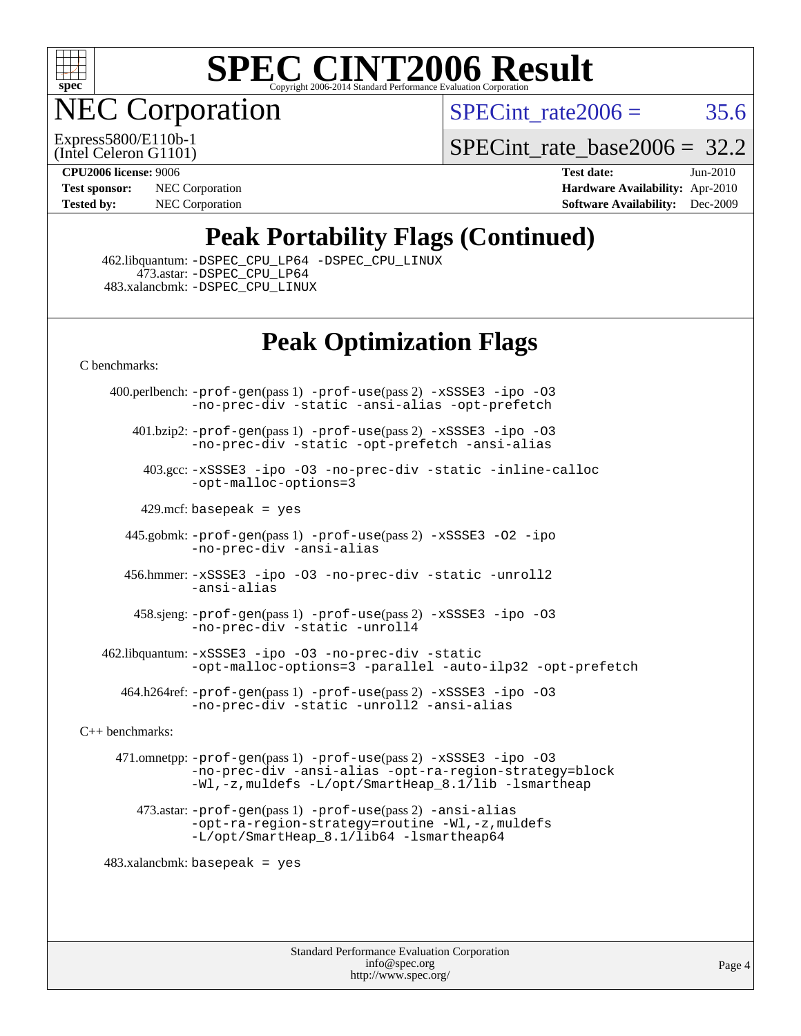

NEC Corporation

SPECint rate  $2006 = 35.6$ 

(Intel Celeron G1101) Express5800/E110b-1 [SPECint\\_rate\\_base2006 =](http://www.spec.org/auto/cpu2006/Docs/result-fields.html#SPECintratebase2006) 32.2

**[Tested by:](http://www.spec.org/auto/cpu2006/Docs/result-fields.html#Testedby)** NEC Corporation **[Software Availability:](http://www.spec.org/auto/cpu2006/Docs/result-fields.html#SoftwareAvailability)** Dec-2009

**[CPU2006 license:](http://www.spec.org/auto/cpu2006/Docs/result-fields.html#CPU2006license)** 9006 **[Test date:](http://www.spec.org/auto/cpu2006/Docs/result-fields.html#Testdate)** Jun-2010 **[Test sponsor:](http://www.spec.org/auto/cpu2006/Docs/result-fields.html#Testsponsor)** NEC Corporation **NEC Corporation [Hardware Availability:](http://www.spec.org/auto/cpu2006/Docs/result-fields.html#HardwareAvailability)** Apr-2010

### **[Peak Portability Flags \(Continued\)](http://www.spec.org/auto/cpu2006/Docs/result-fields.html#PeakPortabilityFlags)**

 462.libquantum: [-DSPEC\\_CPU\\_LP64](http://www.spec.org/cpu2006/results/res2010q3/cpu2006-20100621-11780.flags.html#suite_peakCPORTABILITY462_libquantum_DSPEC_CPU_LP64) [-DSPEC\\_CPU\\_LINUX](http://www.spec.org/cpu2006/results/res2010q3/cpu2006-20100621-11780.flags.html#b462.libquantum_peakCPORTABILITY_DSPEC_CPU_LINUX) 473.astar: [-DSPEC\\_CPU\\_LP64](http://www.spec.org/cpu2006/results/res2010q3/cpu2006-20100621-11780.flags.html#suite_peakCXXPORTABILITY473_astar_DSPEC_CPU_LP64) 483.xalancbmk: [-DSPEC\\_CPU\\_LINUX](http://www.spec.org/cpu2006/results/res2010q3/cpu2006-20100621-11780.flags.html#b483.xalancbmk_peakCXXPORTABILITY_DSPEC_CPU_LINUX)

### **[Peak Optimization Flags](http://www.spec.org/auto/cpu2006/Docs/result-fields.html#PeakOptimizationFlags)**

[C benchmarks](http://www.spec.org/auto/cpu2006/Docs/result-fields.html#Cbenchmarks):

 400.perlbench: [-prof-gen](http://www.spec.org/cpu2006/results/res2010q3/cpu2006-20100621-11780.flags.html#user_peakPASS1_CFLAGSPASS1_LDFLAGS400_perlbench_prof_gen_e43856698f6ca7b7e442dfd80e94a8fc)(pass 1) [-prof-use](http://www.spec.org/cpu2006/results/res2010q3/cpu2006-20100621-11780.flags.html#user_peakPASS2_CFLAGSPASS2_LDFLAGS400_perlbench_prof_use_bccf7792157ff70d64e32fe3e1250b55)(pass 2) [-xSSSE3](http://www.spec.org/cpu2006/results/res2010q3/cpu2006-20100621-11780.flags.html#user_peakCOPTIMIZE400_perlbench_f-xSSSE3) [-ipo](http://www.spec.org/cpu2006/results/res2010q3/cpu2006-20100621-11780.flags.html#user_peakCOPTIMIZE400_perlbench_f-ipo) [-O3](http://www.spec.org/cpu2006/results/res2010q3/cpu2006-20100621-11780.flags.html#user_peakCOPTIMIZE400_perlbench_f-O3) [-no-prec-div](http://www.spec.org/cpu2006/results/res2010q3/cpu2006-20100621-11780.flags.html#user_peakCOPTIMIZE400_perlbench_f-no-prec-div) [-static](http://www.spec.org/cpu2006/results/res2010q3/cpu2006-20100621-11780.flags.html#user_peakCOPTIMIZE400_perlbench_f-static) [-ansi-alias](http://www.spec.org/cpu2006/results/res2010q3/cpu2006-20100621-11780.flags.html#user_peakCOPTIMIZE400_perlbench_f-ansi-alias) [-opt-prefetch](http://www.spec.org/cpu2006/results/res2010q3/cpu2006-20100621-11780.flags.html#user_peakCOPTIMIZE400_perlbench_f-opt-prefetch)

 401.bzip2: [-prof-gen](http://www.spec.org/cpu2006/results/res2010q3/cpu2006-20100621-11780.flags.html#user_peakPASS1_CFLAGSPASS1_LDFLAGS401_bzip2_prof_gen_e43856698f6ca7b7e442dfd80e94a8fc)(pass 1) [-prof-use](http://www.spec.org/cpu2006/results/res2010q3/cpu2006-20100621-11780.flags.html#user_peakPASS2_CFLAGSPASS2_LDFLAGS401_bzip2_prof_use_bccf7792157ff70d64e32fe3e1250b55)(pass 2) [-xSSSE3](http://www.spec.org/cpu2006/results/res2010q3/cpu2006-20100621-11780.flags.html#user_peakCOPTIMIZE401_bzip2_f-xSSSE3) [-ipo](http://www.spec.org/cpu2006/results/res2010q3/cpu2006-20100621-11780.flags.html#user_peakCOPTIMIZE401_bzip2_f-ipo) [-O3](http://www.spec.org/cpu2006/results/res2010q3/cpu2006-20100621-11780.flags.html#user_peakCOPTIMIZE401_bzip2_f-O3) [-no-prec-div](http://www.spec.org/cpu2006/results/res2010q3/cpu2006-20100621-11780.flags.html#user_peakCOPTIMIZE401_bzip2_f-no-prec-div) [-static](http://www.spec.org/cpu2006/results/res2010q3/cpu2006-20100621-11780.flags.html#user_peakCOPTIMIZE401_bzip2_f-static) [-opt-prefetch](http://www.spec.org/cpu2006/results/res2010q3/cpu2006-20100621-11780.flags.html#user_peakCOPTIMIZE401_bzip2_f-opt-prefetch) [-ansi-alias](http://www.spec.org/cpu2006/results/res2010q3/cpu2006-20100621-11780.flags.html#user_peakCOPTIMIZE401_bzip2_f-ansi-alias)

 403.gcc: [-xSSSE3](http://www.spec.org/cpu2006/results/res2010q3/cpu2006-20100621-11780.flags.html#user_peakCOPTIMIZE403_gcc_f-xSSSE3) [-ipo](http://www.spec.org/cpu2006/results/res2010q3/cpu2006-20100621-11780.flags.html#user_peakCOPTIMIZE403_gcc_f-ipo) [-O3](http://www.spec.org/cpu2006/results/res2010q3/cpu2006-20100621-11780.flags.html#user_peakCOPTIMIZE403_gcc_f-O3) [-no-prec-div](http://www.spec.org/cpu2006/results/res2010q3/cpu2006-20100621-11780.flags.html#user_peakCOPTIMIZE403_gcc_f-no-prec-div) [-static](http://www.spec.org/cpu2006/results/res2010q3/cpu2006-20100621-11780.flags.html#user_peakCOPTIMIZE403_gcc_f-static) [-inline-calloc](http://www.spec.org/cpu2006/results/res2010q3/cpu2006-20100621-11780.flags.html#user_peakCOPTIMIZE403_gcc_f-inline-calloc) [-opt-malloc-options=3](http://www.spec.org/cpu2006/results/res2010q3/cpu2006-20100621-11780.flags.html#user_peakCOPTIMIZE403_gcc_f-opt-malloc-options_13ab9b803cf986b4ee62f0a5998c2238)

429.mcf: basepeak = yes

 445.gobmk: [-prof-gen](http://www.spec.org/cpu2006/results/res2010q3/cpu2006-20100621-11780.flags.html#user_peakPASS1_CFLAGSPASS1_LDFLAGS445_gobmk_prof_gen_e43856698f6ca7b7e442dfd80e94a8fc)(pass 1) [-prof-use](http://www.spec.org/cpu2006/results/res2010q3/cpu2006-20100621-11780.flags.html#user_peakPASS2_CFLAGSPASS2_LDFLAGS445_gobmk_prof_use_bccf7792157ff70d64e32fe3e1250b55)(pass 2) [-xSSSE3](http://www.spec.org/cpu2006/results/res2010q3/cpu2006-20100621-11780.flags.html#user_peakCOPTIMIZE445_gobmk_f-xSSSE3) [-O2](http://www.spec.org/cpu2006/results/res2010q3/cpu2006-20100621-11780.flags.html#user_peakCOPTIMIZE445_gobmk_f-O2) [-ipo](http://www.spec.org/cpu2006/results/res2010q3/cpu2006-20100621-11780.flags.html#user_peakCOPTIMIZE445_gobmk_f-ipo) [-no-prec-div](http://www.spec.org/cpu2006/results/res2010q3/cpu2006-20100621-11780.flags.html#user_peakCOPTIMIZE445_gobmk_f-no-prec-div) [-ansi-alias](http://www.spec.org/cpu2006/results/res2010q3/cpu2006-20100621-11780.flags.html#user_peakCOPTIMIZE445_gobmk_f-ansi-alias)

 456.hmmer: [-xSSSE3](http://www.spec.org/cpu2006/results/res2010q3/cpu2006-20100621-11780.flags.html#user_peakCOPTIMIZE456_hmmer_f-xSSSE3) [-ipo](http://www.spec.org/cpu2006/results/res2010q3/cpu2006-20100621-11780.flags.html#user_peakCOPTIMIZE456_hmmer_f-ipo) [-O3](http://www.spec.org/cpu2006/results/res2010q3/cpu2006-20100621-11780.flags.html#user_peakCOPTIMIZE456_hmmer_f-O3) [-no-prec-div](http://www.spec.org/cpu2006/results/res2010q3/cpu2006-20100621-11780.flags.html#user_peakCOPTIMIZE456_hmmer_f-no-prec-div) [-static](http://www.spec.org/cpu2006/results/res2010q3/cpu2006-20100621-11780.flags.html#user_peakCOPTIMIZE456_hmmer_f-static) [-unroll2](http://www.spec.org/cpu2006/results/res2010q3/cpu2006-20100621-11780.flags.html#user_peakCOPTIMIZE456_hmmer_f-unroll_784dae83bebfb236979b41d2422d7ec2) [-ansi-alias](http://www.spec.org/cpu2006/results/res2010q3/cpu2006-20100621-11780.flags.html#user_peakCOPTIMIZE456_hmmer_f-ansi-alias)

 458.sjeng: [-prof-gen](http://www.spec.org/cpu2006/results/res2010q3/cpu2006-20100621-11780.flags.html#user_peakPASS1_CFLAGSPASS1_LDFLAGS458_sjeng_prof_gen_e43856698f6ca7b7e442dfd80e94a8fc)(pass 1) [-prof-use](http://www.spec.org/cpu2006/results/res2010q3/cpu2006-20100621-11780.flags.html#user_peakPASS2_CFLAGSPASS2_LDFLAGS458_sjeng_prof_use_bccf7792157ff70d64e32fe3e1250b55)(pass 2) [-xSSSE3](http://www.spec.org/cpu2006/results/res2010q3/cpu2006-20100621-11780.flags.html#user_peakCOPTIMIZE458_sjeng_f-xSSSE3) [-ipo](http://www.spec.org/cpu2006/results/res2010q3/cpu2006-20100621-11780.flags.html#user_peakCOPTIMIZE458_sjeng_f-ipo) [-O3](http://www.spec.org/cpu2006/results/res2010q3/cpu2006-20100621-11780.flags.html#user_peakCOPTIMIZE458_sjeng_f-O3) [-no-prec-div](http://www.spec.org/cpu2006/results/res2010q3/cpu2006-20100621-11780.flags.html#user_peakCOPTIMIZE458_sjeng_f-no-prec-div) [-static](http://www.spec.org/cpu2006/results/res2010q3/cpu2006-20100621-11780.flags.html#user_peakCOPTIMIZE458_sjeng_f-static) [-unroll4](http://www.spec.org/cpu2006/results/res2010q3/cpu2006-20100621-11780.flags.html#user_peakCOPTIMIZE458_sjeng_f-unroll_4e5e4ed65b7fd20bdcd365bec371b81f)

 462.libquantum: [-xSSSE3](http://www.spec.org/cpu2006/results/res2010q3/cpu2006-20100621-11780.flags.html#user_peakCOPTIMIZE462_libquantum_f-xSSSE3) [-ipo](http://www.spec.org/cpu2006/results/res2010q3/cpu2006-20100621-11780.flags.html#user_peakCOPTIMIZE462_libquantum_f-ipo) [-O3](http://www.spec.org/cpu2006/results/res2010q3/cpu2006-20100621-11780.flags.html#user_peakCOPTIMIZE462_libquantum_f-O3) [-no-prec-div](http://www.spec.org/cpu2006/results/res2010q3/cpu2006-20100621-11780.flags.html#user_peakCOPTIMIZE462_libquantum_f-no-prec-div) [-static](http://www.spec.org/cpu2006/results/res2010q3/cpu2006-20100621-11780.flags.html#user_peakCOPTIMIZE462_libquantum_f-static) [-opt-malloc-options=3](http://www.spec.org/cpu2006/results/res2010q3/cpu2006-20100621-11780.flags.html#user_peakCOPTIMIZE462_libquantum_f-opt-malloc-options_13ab9b803cf986b4ee62f0a5998c2238) [-parallel](http://www.spec.org/cpu2006/results/res2010q3/cpu2006-20100621-11780.flags.html#user_peakCOPTIMIZE462_libquantum_f-parallel) [-auto-ilp32](http://www.spec.org/cpu2006/results/res2010q3/cpu2006-20100621-11780.flags.html#user_peakCOPTIMIZE462_libquantum_f-auto-ilp32) [-opt-prefetch](http://www.spec.org/cpu2006/results/res2010q3/cpu2006-20100621-11780.flags.html#user_peakCOPTIMIZE462_libquantum_f-opt-prefetch)

 464.h264ref: [-prof-gen](http://www.spec.org/cpu2006/results/res2010q3/cpu2006-20100621-11780.flags.html#user_peakPASS1_CFLAGSPASS1_LDFLAGS464_h264ref_prof_gen_e43856698f6ca7b7e442dfd80e94a8fc)(pass 1) [-prof-use](http://www.spec.org/cpu2006/results/res2010q3/cpu2006-20100621-11780.flags.html#user_peakPASS2_CFLAGSPASS2_LDFLAGS464_h264ref_prof_use_bccf7792157ff70d64e32fe3e1250b55)(pass 2) [-xSSSE3](http://www.spec.org/cpu2006/results/res2010q3/cpu2006-20100621-11780.flags.html#user_peakCOPTIMIZE464_h264ref_f-xSSSE3) [-ipo](http://www.spec.org/cpu2006/results/res2010q3/cpu2006-20100621-11780.flags.html#user_peakCOPTIMIZE464_h264ref_f-ipo) [-O3](http://www.spec.org/cpu2006/results/res2010q3/cpu2006-20100621-11780.flags.html#user_peakCOPTIMIZE464_h264ref_f-O3) [-no-prec-div](http://www.spec.org/cpu2006/results/res2010q3/cpu2006-20100621-11780.flags.html#user_peakCOPTIMIZE464_h264ref_f-no-prec-div) [-static](http://www.spec.org/cpu2006/results/res2010q3/cpu2006-20100621-11780.flags.html#user_peakCOPTIMIZE464_h264ref_f-static) [-unroll2](http://www.spec.org/cpu2006/results/res2010q3/cpu2006-20100621-11780.flags.html#user_peakCOPTIMIZE464_h264ref_f-unroll_784dae83bebfb236979b41d2422d7ec2) [-ansi-alias](http://www.spec.org/cpu2006/results/res2010q3/cpu2006-20100621-11780.flags.html#user_peakCOPTIMIZE464_h264ref_f-ansi-alias)

[C++ benchmarks:](http://www.spec.org/auto/cpu2006/Docs/result-fields.html#CXXbenchmarks)

 471.omnetpp: [-prof-gen](http://www.spec.org/cpu2006/results/res2010q3/cpu2006-20100621-11780.flags.html#user_peakPASS1_CXXFLAGSPASS1_LDFLAGS471_omnetpp_prof_gen_e43856698f6ca7b7e442dfd80e94a8fc)(pass 1) [-prof-use](http://www.spec.org/cpu2006/results/res2010q3/cpu2006-20100621-11780.flags.html#user_peakPASS2_CXXFLAGSPASS2_LDFLAGS471_omnetpp_prof_use_bccf7792157ff70d64e32fe3e1250b55)(pass 2) [-xSSSE3](http://www.spec.org/cpu2006/results/res2010q3/cpu2006-20100621-11780.flags.html#user_peakCXXOPTIMIZE471_omnetpp_f-xSSSE3) [-ipo](http://www.spec.org/cpu2006/results/res2010q3/cpu2006-20100621-11780.flags.html#user_peakCXXOPTIMIZE471_omnetpp_f-ipo) [-O3](http://www.spec.org/cpu2006/results/res2010q3/cpu2006-20100621-11780.flags.html#user_peakCXXOPTIMIZE471_omnetpp_f-O3) [-no-prec-div](http://www.spec.org/cpu2006/results/res2010q3/cpu2006-20100621-11780.flags.html#user_peakCXXOPTIMIZE471_omnetpp_f-no-prec-div) [-ansi-alias](http://www.spec.org/cpu2006/results/res2010q3/cpu2006-20100621-11780.flags.html#user_peakCXXOPTIMIZE471_omnetpp_f-ansi-alias) [-opt-ra-region-strategy=block](http://www.spec.org/cpu2006/results/res2010q3/cpu2006-20100621-11780.flags.html#user_peakCXXOPTIMIZE471_omnetpp_f-opt-ra-region-strategy-block_a0a37c372d03933b2a18d4af463c1f69) [-Wl,-z,muldefs](http://www.spec.org/cpu2006/results/res2010q3/cpu2006-20100621-11780.flags.html#user_peakEXTRA_LDFLAGS471_omnetpp_link_force_multiple1_74079c344b956b9658436fd1b6dd3a8a) [-L/opt/SmartHeap\\_8.1/lib -lsmartheap](http://www.spec.org/cpu2006/results/res2010q3/cpu2006-20100621-11780.flags.html#user_peakEXTRA_LIBS471_omnetpp_SmartHeap_d5ba4dfc9de25d3c657c7de7476e66c5)

 473.astar: [-prof-gen](http://www.spec.org/cpu2006/results/res2010q3/cpu2006-20100621-11780.flags.html#user_peakPASS1_CXXFLAGSPASS1_LDFLAGS473_astar_prof_gen_e43856698f6ca7b7e442dfd80e94a8fc)(pass 1) [-prof-use](http://www.spec.org/cpu2006/results/res2010q3/cpu2006-20100621-11780.flags.html#user_peakPASS2_CXXFLAGSPASS2_LDFLAGS473_astar_prof_use_bccf7792157ff70d64e32fe3e1250b55)(pass 2) [-ansi-alias](http://www.spec.org/cpu2006/results/res2010q3/cpu2006-20100621-11780.flags.html#user_peakCXXOPTIMIZE473_astar_f-ansi-alias) [-opt-ra-region-strategy=routine](http://www.spec.org/cpu2006/results/res2010q3/cpu2006-20100621-11780.flags.html#user_peakCXXOPTIMIZE473_astar_f-opt-ra-region-strategy-routine_ba086ea3b1d46a52e1238e2ca173ed44) [-Wl,-z,muldefs](http://www.spec.org/cpu2006/results/res2010q3/cpu2006-20100621-11780.flags.html#user_peakEXTRA_LDFLAGS473_astar_link_force_multiple1_74079c344b956b9658436fd1b6dd3a8a) [-L/opt/SmartHeap\\_8.1/lib64 -lsmartheap64](http://www.spec.org/cpu2006/results/res2010q3/cpu2006-20100621-11780.flags.html#user_peakEXTRA_LIBS473_astar_SmartHeap64_7ff9c3d8ca51c2767359d6aa2f519d77)

 $483.xalanchmk: basepeak = yes$